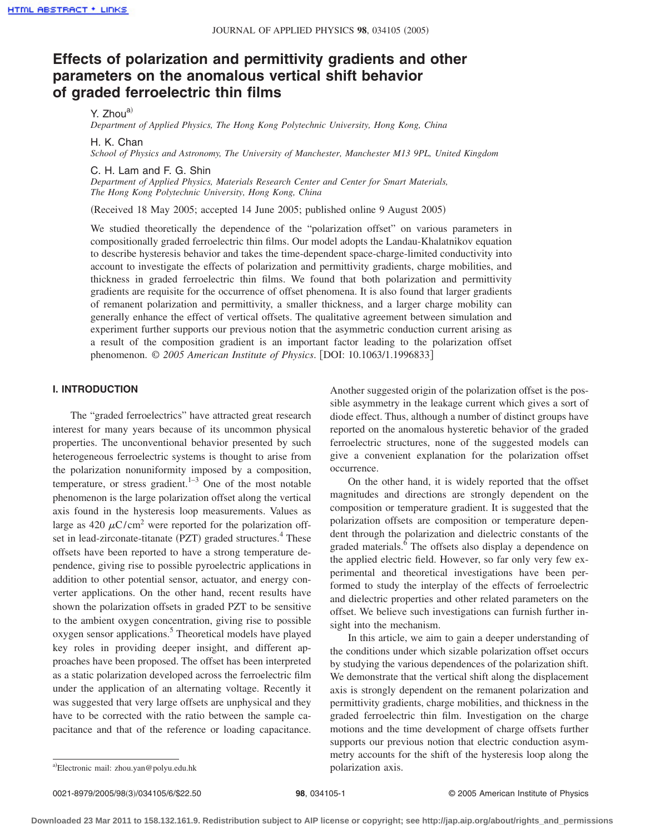# **Effects of polarization and permittivity gradients and other parameters on the anomalous vertical shift behavior of graded ferroelectric thin films**

Y. Zhou<sup>a)</sup>

*Department of Applied Physics, The Hong Kong Polytechnic University, Hong Kong, China*

H. K. Chan

*School of Physics and Astronomy, The University of Manchester, Manchester M13 9PL, United Kingdom*

C. H. Lam and F. G. Shin

*Department of Applied Physics, Materials Research Center and Center for Smart Materials, The Hong Kong Polytechnic University, Hong Kong, China*

Received 18 May 2005; accepted 14 June 2005; published online 9 August 2005-

We studied theoretically the dependence of the "polarization offset" on various parameters in compositionally graded ferroelectric thin films. Our model adopts the Landau-Khalatnikov equation to describe hysteresis behavior and takes the time-dependent space-charge-limited conductivity into account to investigate the effects of polarization and permittivity gradients, charge mobilities, and thickness in graded ferroelectric thin films. We found that both polarization and permittivity gradients are requisite for the occurrence of offset phenomena. It is also found that larger gradients of remanent polarization and permittivity, a smaller thickness, and a larger charge mobility can generally enhance the effect of vertical offsets. The qualitative agreement between simulation and experiment further supports our previous notion that the asymmetric conduction current arising as a result of the composition gradient is an important factor leading to the polarization offset phenomenon. © *2005 American Institute of Physics*. DOI: 10.1063/1.1996833

# **I. INTRODUCTION**

The "graded ferroelectrics" have attracted great research interest for many years because of its uncommon physical properties. The unconventional behavior presented by such heterogeneous ferroelectric systems is thought to arise from the polarization nonuniformity imposed by a composition, temperature, or stress gradient. $1-3$  One of the most notable phenomenon is the large polarization offset along the vertical axis found in the hysteresis loop measurements. Values as large as 420  $\mu$ C/cm<sup>2</sup> were reported for the polarization offset in lead-zirconate-titanate (PZT) graded structures.<sup>4</sup> These offsets have been reported to have a strong temperature dependence, giving rise to possible pyroelectric applications in addition to other potential sensor, actuator, and energy converter applications. On the other hand, recent results have shown the polarization offsets in graded PZT to be sensitive to the ambient oxygen concentration, giving rise to possible oxygen sensor applications.<sup>5</sup> Theoretical models have played key roles in providing deeper insight, and different approaches have been proposed. The offset has been interpreted as a static polarization developed across the ferroelectric film under the application of an alternating voltage. Recently it was suggested that very large offsets are unphysical and they have to be corrected with the ratio between the sample capacitance and that of the reference or loading capacitance. Another suggested origin of the polarization offset is the possible asymmetry in the leakage current which gives a sort of diode effect. Thus, although a number of distinct groups have reported on the anomalous hysteretic behavior of the graded ferroelectric structures, none of the suggested models can give a convenient explanation for the polarization offset occurrence.

On the other hand, it is widely reported that the offset magnitudes and directions are strongly dependent on the composition or temperature gradient. It is suggested that the polarization offsets are composition or temperature dependent through the polarization and dielectric constants of the graded materials.<sup>6</sup> The offsets also display a dependence on the applied electric field. However, so far only very few experimental and theoretical investigations have been performed to study the interplay of the effects of ferroelectric and dielectric properties and other related parameters on the offset. We believe such investigations can furnish further insight into the mechanism.

In this article, we aim to gain a deeper understanding of the conditions under which sizable polarization offset occurs by studying the various dependences of the polarization shift. We demonstrate that the vertical shift along the displacement axis is strongly dependent on the remanent polarization and permittivity gradients, charge mobilities, and thickness in the graded ferroelectric thin film. Investigation on the charge motions and the time development of charge offsets further supports our previous notion that electric conduction asymmetry accounts for the shift of the hysteresis loop along the

0021-8979/2005/98(3)/034105/6/\$22.50

polarization axis. <sup>a</sup>- Electronic mail: zhou.yan@polyu.edu.hk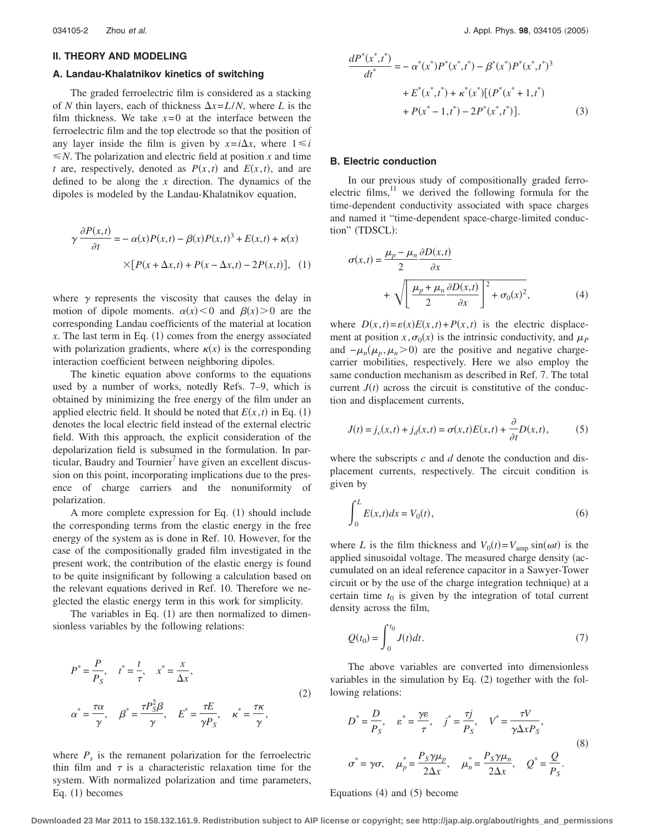#### **II. THEORY AND MODELING**

### **A. Landau-Khalatnikov kinetics of switching**

The graded ferroelectric film is considered as a stacking of *N* thin layers, each of thickness  $\Delta x = L/N$ , where *L* is the film thickness. We take  $x=0$  at the interface between the ferroelectric film and the top electrode so that the position of any layer inside the film is given by  $x = i\Delta x$ , where  $1 \le i$  $\leq N$ . The polarization and electric field at position *x* and time *t* are, respectively, denoted as  $P(x,t)$  and  $E(x,t)$ , and are defined to be along the *x* direction. The dynamics of the dipoles is modeled by the Landau-Khalatnikov equation,

$$
\gamma \frac{\partial P(x,t)}{\partial t} = -\alpha(x)P(x,t) - \beta(x)P(x,t)^3 + E(x,t) + \kappa(x)
$$

$$
\times [P(x + \Delta x, t) + P(x - \Delta x, t) - 2P(x,t)], \quad (1)
$$

where  $\gamma$  represents the viscosity that causes the delay in motion of dipole moments.  $\alpha(x) < 0$  and  $\beta(x) > 0$  are the corresponding Landau coefficients of the material at location  $x$ . The last term in Eq.  $(1)$  comes from the energy associated with polarization gradients, where  $\kappa(x)$  is the corresponding interaction coefficient between neighboring dipoles.

The kinetic equation above conforms to the equations used by a number of works, notedly Refs. 7–9, which is obtained by minimizing the free energy of the film under an applied electric field. It should be noted that  $E(x, t)$  in Eq. (1) denotes the local electric field instead of the external electric field. With this approach, the explicit consideration of the depolarization field is subsumed in the formulation. In particular, Baudry and Tournier<sup> $\prime$ </sup> have given an excellent discussion on this point, incorporating implications due to the presence of charge carriers and the nonuniformity of polarization.

A more complete expression for Eq.  $(1)$  should include the corresponding terms from the elastic energy in the free energy of the system as is done in Ref. 10. However, for the case of the compositionally graded film investigated in the present work, the contribution of the elastic energy is found to be quite insignificant by following a calculation based on the relevant equations derived in Ref. 10. Therefore we neglected the elastic energy term in this work for simplicity.

The variables in Eq.  $(1)$  are then normalized to dimensionless variables by the following relations:

$$
P^* = \frac{P}{P_S}, \quad t^* = \frac{t}{\tau}, \quad x^* = \frac{x}{\Delta x},
$$
  
\n
$$
\alpha^* = \frac{\tau \alpha}{\gamma}, \quad \beta^* = \frac{\tau P_S^2 \beta}{\gamma}, \quad E^* = \frac{\tau E}{\gamma P_S}, \quad \kappa^* = \frac{\tau \kappa}{\gamma},
$$
\n(2)

where  $P_s$  is the remanent polarization for the ferroelectric thin film and  $\tau$  is a characteristic relaxation time for the system. With normalized polarization and time parameters, Eq. (1) becomes

$$
\frac{dP^*(x^*,t^*)}{dt^*} = -\alpha^*(x^*)P^*(x^*,t^*) - \beta^*(x^*)P^*(x^*,t^*)^3
$$

$$
+E^*(x^*,t^*) + \kappa^*(x^*)[(P^*(x^*+1,t^*) + P(x^*-1,t^*) - 2P^*(x^*,t^*)].
$$
(3)

#### **B. Electric conduction**

In our previous study of compositionally graded ferroelectric films, $11$  we derived the following formula for the time-dependent conductivity associated with space charges and named it "time-dependent space-charge-limited conduction" (TDSCL):

$$
\sigma(x,t) = \frac{\mu_p - \mu_n}{2} \frac{\partial D(x,t)}{\partial x} + \sqrt{\left[\frac{\mu_p + \mu_n}{2} \frac{\partial D(x,t)}{\partial x}\right]^2 + \sigma_0(x)^2},
$$
(4)

where  $D(x,t) = \varepsilon(x)E(x,t) + P(x,t)$  is the electric displacement at position  $x, \sigma_0(x)$  is the intrinsic conductivity, and  $\mu_P$ and  $-\mu_n(\mu_p, \mu_n > 0)$  are the positive and negative chargecarrier mobilities, respectively. Here we also employ the same conduction mechanism as described in Ref. 7. The total current  $J(t)$  across the circuit is constitutive of the conduction and displacement currents,

$$
J(t) = j_c(x,t) + j_d(x,t) = \sigma(x,t)E(x,t) + \frac{\partial}{\partial t}D(x,t),
$$
 (5)

where the subscripts *c* and *d* denote the conduction and displacement currents, respectively. The circuit condition is given by

$$
\int_0^L E(x,t)dx = V_0(t),\tag{6}
$$

where *L* is the film thickness and  $V_0(t) = V_{\text{amp}} \sin(\omega t)$  is the applied sinusoidal voltage. The measured charge density (accumulated on an ideal reference capacitor in a Sawyer-Tower circuit or by the use of the charge integration technique) at a certain time  $t_0$  is given by the integration of total current density across the film,

$$
Q(t_0) = \int_0^{t_0} J(t)dt.
$$
\n(7)

The above variables are converted into dimensionless variables in the simulation by Eq.  $(2)$  together with the following relations:

$$
D^* = \frac{D}{P_S}, \quad \varepsilon^* = \frac{\gamma \varepsilon}{\tau}, \quad j^* = \frac{\tau j}{P_S}, \quad V^* = \frac{\tau V}{\gamma \Delta x P_S},
$$
  

$$
\sigma^* = \gamma \sigma, \quad \mu_p^* = \frac{P_S \gamma \mu_p}{2 \Delta x}, \quad \mu_n^* = \frac{P_S \gamma \mu_n}{2 \Delta x}, \quad Q^* = \frac{Q}{P_S}.
$$
 (8)

Equations  $(4)$  and  $(5)$  become

**Downloaded 23 Mar 2011 to 158.132.161.9. Redistribution subject to AIP license or copyright; see http://jap.aip.org/about/rights\_and\_permissions**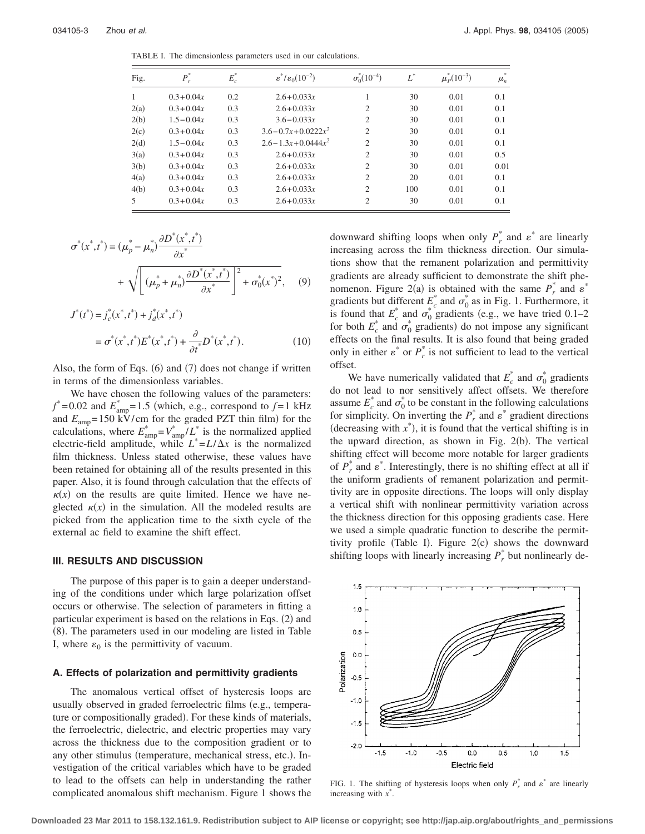| Fig.         | $P_r^*$       | $E_c^*$ | $\epsilon^*/\epsilon_0(10^{-2})$ | $\sigma_0^*(10^{-4})$ | $L^*$ | $\mu^*_{P}(10^{-3})$ | $\mu_n$ |
|--------------|---------------|---------|----------------------------------|-----------------------|-------|----------------------|---------|
| $\mathbf{1}$ | $0.3 + 0.04x$ | 0.2     | $2.6 + 0.033x$                   |                       | 30    | 0.01                 | 0.1     |
| 2(a)         | $0.3 + 0.04x$ | 0.3     | $2.6 + 0.033x$                   | 2                     | 30    | 0.01                 | 0.1     |
| 2(b)         | $1.5 - 0.04x$ | 0.3     | $3.6 - 0.033x$                   | 2                     | 30    | 0.01                 | 0.1     |
| 2(c)         | $0.3 + 0.04x$ | 0.3     | $3.6 - 0.7x + 0.0222x^2$         | 2                     | 30    | 0.01                 | 0.1     |
| 2(d)         | $1.5 - 0.04x$ | 0.3     | $2.6 - 1.3x + 0.0444x^2$         | 2                     | 30    | 0.01                 | 0.1     |
| 3(a)         | $0.3 + 0.04x$ | 0.3     | $2.6 + 0.033x$                   | 2                     | 30    | 0.01                 | 0.5     |
| 3(b)         | $0.3 + 0.04x$ | 0.3     | $2.6 + 0.033x$                   | $\overline{c}$        | 30    | 0.01                 | 0.01    |
| 4(a)         | $0.3 + 0.04x$ | 0.3     | $2.6 + 0.033x$                   | 2                     | 20    | 0.01                 | 0.1     |
| 4(b)         | $0.3 + 0.04x$ | 0.3     | $2.6 + 0.033x$                   | $\overline{c}$        | 100   | 0.01                 | 0.1     |

5 0.3+0.04*x* 0.3 2.6+0.033*x* 2 30 0.01 0.1

TABLE I. The dimensionless parameters used in our calculations.

$$
\sigma^*(x^*, t^*) = (\mu_p^* - \mu_n^*) \frac{\partial D^*(x^*, t^*)}{\partial x^*} + \sqrt{\left[ (\mu_p^* + \mu_n^*) \frac{\partial D^*(x^*, t^*)}{\partial x^*} \right]^2 + \sigma_0^*(x^*)^2}, \quad (9)
$$

$$
J^*(t^*) = j_c^*(x^*, t^*) + j_d^*(x^*, t^*)
$$
  
=  $\sigma^*(x^*, t^*) E^*(x^*, t^*) + \frac{\partial}{\partial t^*} D^*(x^*, t^*).$  (10)

Also, the form of Eqs.  $(6)$  and  $(7)$  does not change if written in terms of the dimensionless variables.

We have chosen the following values of the parameters:  $f^*$  =0.02 and  $E_{\text{amp}}^*$  =1.5 (which, e.g., correspond to  $f$  =1 kHz and  $E_{\text{amp}} = 150 \text{ kV/cm}$  for the graded PZT thin film) for the calculations, where  $E_{\text{amp}}^* = V_{\text{amp}}^*/L^*$  is the normalized applied electric-field amplitude, while  $L^* = L/\Delta x$  is the normalized film thickness. Unless stated otherwise, these values have been retained for obtaining all of the results presented in this paper. Also, it is found through calculation that the effects of  $\kappa(x)$  on the results are quite limited. Hence we have neglected  $\kappa(x)$  in the simulation. All the modeled results are picked from the application time to the sixth cycle of the external ac field to examine the shift effect.

#### **III. RESULTS AND DISCUSSION**

The purpose of this paper is to gain a deeper understanding of the conditions under which large polarization offset occurs or otherwise. The selection of parameters in fitting a particular experiment is based on the relations in Eqs. (2) and (8). The parameters used in our modeling are listed in Table I, where  $\varepsilon_0$  is the permittivity of vacuum.

## **A. Effects of polarization and permittivity gradients**

The anomalous vertical offset of hysteresis loops are usually observed in graded ferroelectric films (e.g., temperature or compositionally graded). For these kinds of materials, the ferroelectric, dielectric, and electric properties may vary across the thickness due to the composition gradient or to any other stimulus (temperature, mechanical stress, etc.). Investigation of the critical variables which have to be graded to lead to the offsets can help in understanding the rather complicated anomalous shift mechanism. Figure 1 shows the

downward shifting loops when only  $P_r^*$  and  $\varepsilon^*$  are linearly increasing across the film thickness direction. Our simulations show that the remanent polarization and permittivity gradients are already sufficient to demonstrate the shift phenomenon. Figure 2(a) is obtained with the same  $P_r^*$  and  $\varepsilon^*$ gradients but different  $E_c^*$  and  $\sigma_0^*$  as in Fig. 1. Furthermore, it is found that  $E_c^*$  and  $\sigma_0^*$  gradients (e.g., we have tried 0.1–2 for both  $E_c^*$  and  $\sigma_0^*$  gradients) do not impose any significant effects on the final results. It is also found that being graded only in either  $\varepsilon^*$  or  $P_r^*$  is not sufficient to lead to the vertical offset.

We have numerically validated that  $E_c^*$  and  $\sigma_0^*$  gradients do not lead to nor sensitively affect offsets. We therefore assume  $E_c^*$  and  $\sigma_0^*$  to be constant in the following calculations for simplicity. On inverting the  $P_r^*$  and  $\varepsilon^*$  gradient directions (decreasing with  $x^*$ ), it is found that the vertical shifting is in the upward direction, as shown in Fig.  $2(b)$ . The vertical shifting effect will become more notable for larger gradients of  $P_r^*$  and  $\varepsilon^*$ . Interestingly, there is no shifting effect at all if the uniform gradients of remanent polarization and permittivity are in opposite directions. The loops will only display a vertical shift with nonlinear permittivity variation across the thickness direction for this opposing gradients case. Here we used a simple quadratic function to describe the permittivity profile (Table I). Figure  $2(c)$  shows the downward shifting loops with linearly increasing  $P_r^*$  but nonlinearly de-



FIG. 1. The shifting of hysteresis loops when only  $P_r^*$  and  $\varepsilon^*$  are linearly increasing with *x*\* .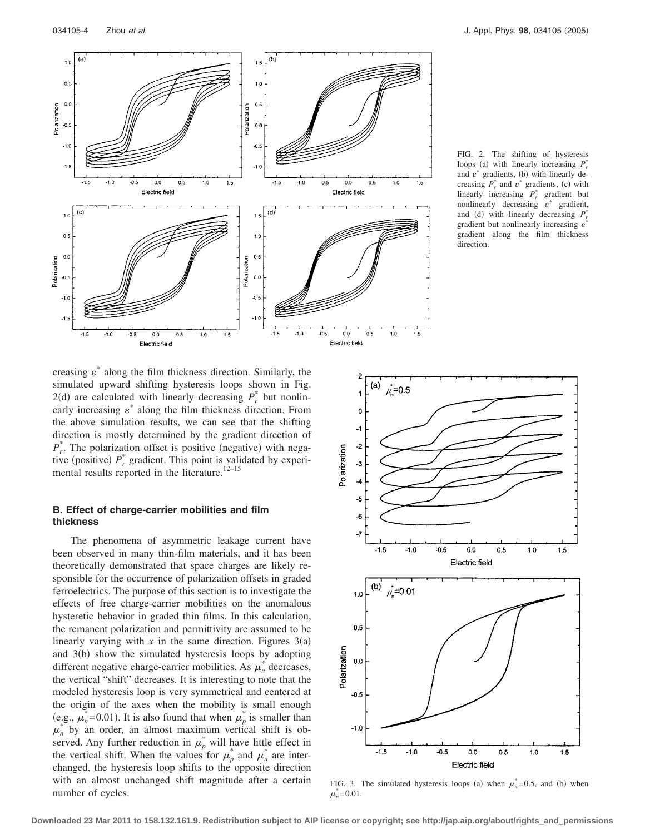

FIG. 2. The shifting of hysteresis loops (a) with linearly increasing  $P_r^*$ and  $\varepsilon^*$  gradients, (b) with linearly decreasing  $P_r^*$  and  $\varepsilon^*$  gradients, (c) with linearly increasing  $P_r^*$  gradient but nonlinearly decreasing  $\varepsilon^*$  gradient, and (d) with linearly decreasing  $P^*_{r}$ gradient but nonlinearly increasing  $\varepsilon$ <sup>\*</sup> gradient along the film thickness direction.

creasing  $\varepsilon^*$  along the film thickness direction. Similarly, the simulated upward shifting hysteresis loops shown in Fig.  $2(d)$  are calculated with linearly decreasing  $P_r^*$  but nonlinearly increasing  $\varepsilon^*$  along the film thickness direction. From the above simulation results, we can see that the shifting direction is mostly determined by the gradient direction of  $P_{r}^{*}$ . The polarization offset is positive (negative) with negative (positive)  $P_r^*$  gradient. This point is validated by experimental results reported in the literature.<sup>12–15</sup>

# **B. Effect of charge-carrier mobilities and film thickness**

The phenomena of asymmetric leakage current have been observed in many thin-film materials, and it has been theoretically demonstrated that space charges are likely responsible for the occurrence of polarization offsets in graded ferroelectrics. The purpose of this section is to investigate the effects of free charge-carrier mobilities on the anomalous hysteretic behavior in graded thin films. In this calculation, the remanent polarization and permittivity are assumed to be linearly varying with  $x$  in the same direction. Figures  $3(a)$ and 3(b) show the simulated hysteresis loops by adopting different negative charge-carrier mobilities. As  $\mu_n^*$  decreases, the vertical "shift" decreases. It is interesting to note that the modeled hysteresis loop is very symmetrical and centered at the origin of the axes when the mobility is small enough (e<sub>2</sub>g.,  $\mu_n^*$ =0.01). It is also found that when  $\mu_p^*$  is smaller than  $\mu_n^*$  by an order, an almost maximum vertical shift is observed. Any further reduction in  $\mu_p^*$  will have little effect in the vertical shift. When the values for  $\mu_p^*$  and  $\mu_n^*$  are interchanged, the hysteresis loop shifts to the opposite direction with an almost unchanged shift magnitude after a certain number of cycles.



FIG. 3. The simulated hysteresis loops (a) when  $\mu_n^* = 0.5$ , and (b) when  $\mu_n^* = 0.01$ .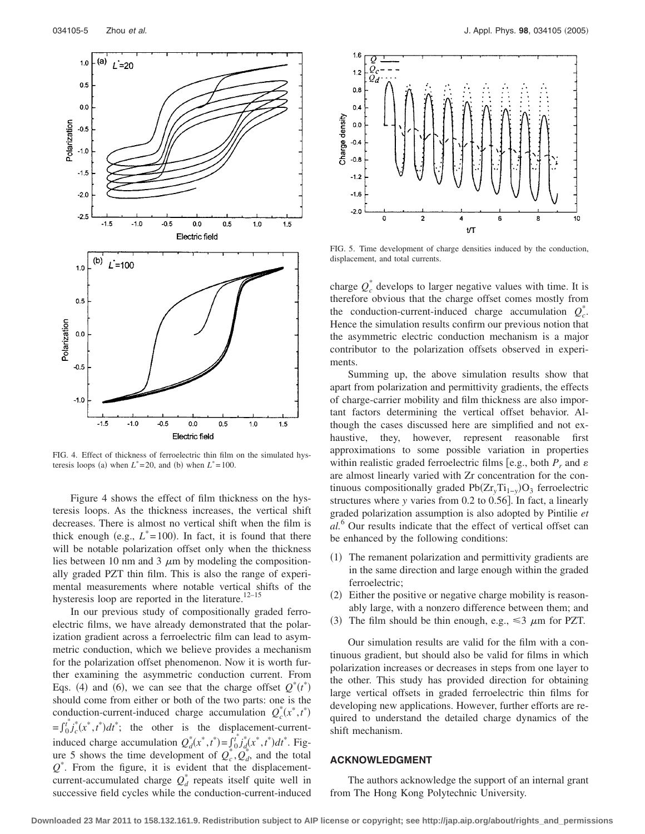

FIG. 4. Effect of thickness of ferroelectric thin film on the simulated hysteresis loops (a) when  $L^*=20$ , and (b) when  $L^*=100$ .

Figure 4 shows the effect of film thickness on the hysteresis loops. As the thickness increases, the vertical shift decreases. There is almost no vertical shift when the film is thick enough (e.g.,  $L^* = 100$ ). In fact, it is found that there will be notable polarization offset only when the thickness lies between 10 nm and 3  $\mu$ m by modeling the compositionally graded PZT thin film. This is also the range of experimental measurements where notable vertical shifts of the hysteresis loop are reported in the literature.<sup>12–15</sup>

In our previous study of compositionally graded ferroelectric films, we have already demonstrated that the polarization gradient across a ferroelectric film can lead to asymmetric conduction, which we believe provides a mechanism for the polarization offset phenomenon. Now it is worth further examining the asymmetric conduction current. From Eqs. (4) and (6), we can see that the charge offset  $Q^*(t^*)$ should come from either or both of the two parts: one is the conduction-current-induced charge accumulation  $Q_c^*(x^*, t^*)$  $=f_0^t j_c^*(x^*, t^*) dt^*$ ; the other is the displacement-currentinduced charge accumulation  $Q_d^*(x^*, t^*) = \int_0^t \int_{d}^* (x^*, t^*) dt^*$ . Figure 5 shows the time development of  $Q_c^*, Q_d^*$ , and the total *Q*\* . From the figure, it is evident that the displacementcurrent-accumulated charge  $Q_d^*$  repeats itself quite well in successive field cycles while the conduction-current-induced



FIG. 5. Time development of charge densities induced by the conduction, displacement, and total currents.

charge  $Q_c^*$  develops to larger negative values with time. It is therefore obvious that the charge offset comes mostly from the conduction-current-induced charge accumulation  $Q_c^*$ . Hence the simulation results confirm our previous notion that the asymmetric electric conduction mechanism is a major contributor to the polarization offsets observed in experiments.

Summing up, the above simulation results show that apart from polarization and permittivity gradients, the effects of charge-carrier mobility and film thickness are also important factors determining the vertical offset behavior. Although the cases discussed here are simplified and not exhaustive, they, however, represent reasonable first approximations to some possible variation in properties within realistic graded ferroelectric films [e.g., both  $P_r$  and  $\varepsilon$ are almost linearly varied with Zr concentration for the continuous compositionally graded Pb(Zr<sub>y</sub>Ti<sub>1−y</sub>)O<sub>3</sub> ferroelectric structures where *y* varies from 0.2 to 0.56]. In fact, a linearly graded polarization assumption is also adopted by Pintilie *et al.*<sup>6</sup> Our results indicate that the effect of vertical offset can be enhanced by the following conditions:

- (1) The remanent polarization and permittivity gradients are in the same direction and large enough within the graded ferroelectric;
- (2) Either the positive or negative charge mobility is reasonably large, with a nonzero difference between them; and
- (3) The film should be thin enough, e.g.,  $\leq 3 \mu$ m for PZT.

Our simulation results are valid for the film with a continuous gradient, but should also be valid for films in which polarization increases or decreases in steps from one layer to the other. This study has provided direction for obtaining large vertical offsets in graded ferroelectric thin films for developing new applications. However, further efforts are required to understand the detailed charge dynamics of the shift mechanism.

#### **ACKNOWLEDGMENT**

The authors acknowledge the support of an internal grant from The Hong Kong Polytechnic University.